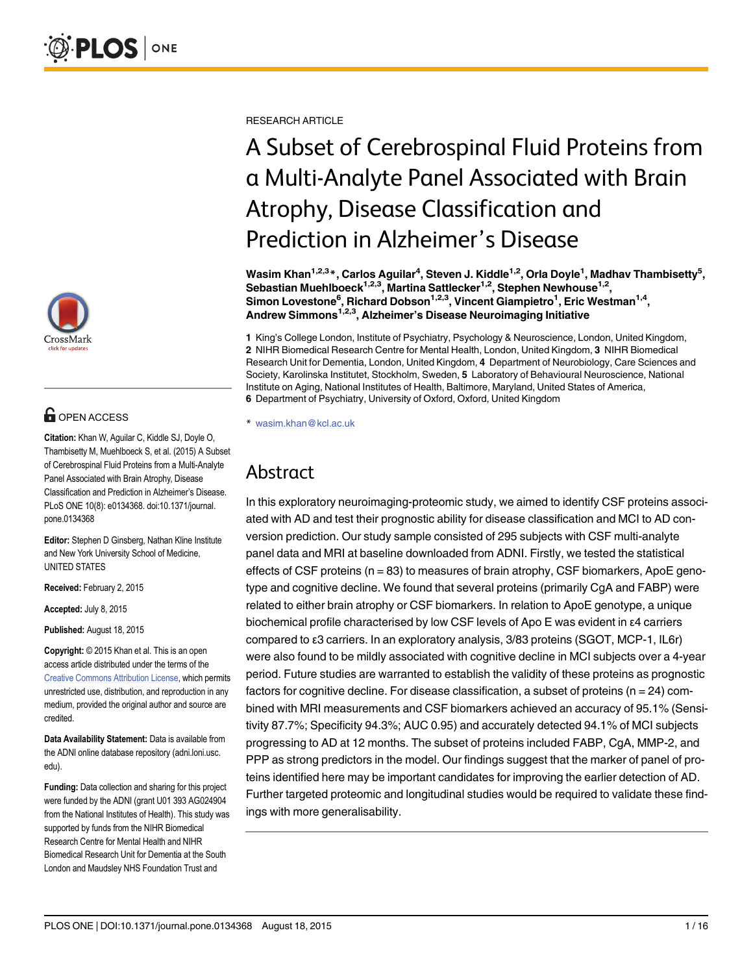

# **G** OPEN ACCESS

Citation: Khan W, Aguilar C, Kiddle SJ, Doyle O, Thambisetty M, Muehlboeck S, et al. (2015) A Subset of Cerebrospinal Fluid Proteins from a Multi-Analyte Panel Associated with Brain Atrophy, Disease Classification and Prediction in Alzheimer's Disease. PLoS ONE 10(8): e0134368. doi:10.1371/journal. pone.0134368

Editor: Stephen D Ginsberg, Nathan Kline Institute and New York University School of Medicine, UNITED STATES

Received: February 2, 2015

Accepted: July 8, 2015

Published: August 18, 2015

Copyright: © 2015 Khan et al. This is an open access article distributed under the terms of the [Creative Commons Attribution License,](http://creativecommons.org/licenses/by/4.0/) which permits unrestricted use, distribution, and reproduction in any medium, provided the original author and source are credited.

Data Availability Statement: Data is available from the ADNI online database repository (adni.loni.usc. edu).

Funding: Data collection and sharing for this project were funded by the ADNI (grant U01 393 AG024904 from the National Institutes of Health). This study was supported by funds from the NIHR Biomedical Research Centre for Mental Health and NIHR Biomedical Research Unit for Dementia at the South London and Maudsley NHS Foundation Trust and

RESEARCH ARTICLE

# A Subset of Cerebrospinal Fluid Proteins from a Multi-Analyte Panel Associated with Brain Atrophy, Disease Classification and Prediction in Alzheimer's Disease

Wasim Khan $^{1,2,3\, *}$ , Carlos Aguilar $^4$ , Steven J. Kiddle $^{1,2}$ , Orla Doyle $^1$ , Madhav Thambisetty $^5,$ Sebastian Muehlboeck<sup>1,2,3</sup>, Martina Sattlecker<sup>1,2</sup>, Stephen Newhouse<sup>1,2</sup>, Simon Lovestone<sup>6</sup>, Richard Dobson<sup>1,2,3</sup>, Vincent Giampietro<sup>1</sup>, Eric Westman<sup>1,4</sup>, Andrew Simmons<sup>1,2,3</sup>, Alzheimer's Disease Neuroimaging Initiative

1 King's College London, Institute of Psychiatry, Psychology & Neuroscience, London, United Kingdom, 2 NIHR Biomedical Research Centre for Mental Health, London, United Kingdom, 3 NIHR Biomedical Research Unit for Dementia, London, United Kingdom, 4 Department of Neurobiology, Care Sciences and Society, Karolinska Institutet, Stockholm, Sweden, 5 Laboratory of Behavioural Neuroscience, National Institute on Aging, National Institutes of Health, Baltimore, Maryland, United States of America, 6 Department of Psychiatry, University of Oxford, Oxford, United Kingdom

\* wasim.khan@kcl.ac.uk

# Abstract

In this exploratory neuroimaging-proteomic study, we aimed to identify CSF proteins associated with AD and test their prognostic ability for disease classification and MCI to AD conversion prediction. Our study sample consisted of 295 subjects with CSF multi-analyte panel data and MRI at baseline downloaded from ADNI. Firstly, we tested the statistical effects of CSF proteins  $(n = 83)$  to measures of brain atrophy, CSF biomarkers, ApoE genotype and cognitive decline. We found that several proteins (primarily CgA and FABP) were related to either brain atrophy or CSF biomarkers. In relation to ApoE genotype, a unique biochemical profile characterised by low CSF levels of Apo E was evident in ε4 carriers compared to ε3 carriers. In an exploratory analysis, 3/83 proteins (SGOT, MCP-1, IL6r) were also found to be mildly associated with cognitive decline in MCI subjects over a 4-year period. Future studies are warranted to establish the validity of these proteins as prognostic factors for cognitive decline. For disease classification, a subset of proteins ( $n = 24$ ) combined with MRI measurements and CSF biomarkers achieved an accuracy of 95.1% (Sensitivity 87.7%; Specificity 94.3%; AUC 0.95) and accurately detected 94.1% of MCI subjects progressing to AD at 12 months. The subset of proteins included FABP, CgA, MMP-2, and PPP as strong predictors in the model. Our findings suggest that the marker of panel of proteins identified here may be important candidates for improving the earlier detection of AD. Further targeted proteomic and longitudinal studies would be required to validate these findings with more generalisability.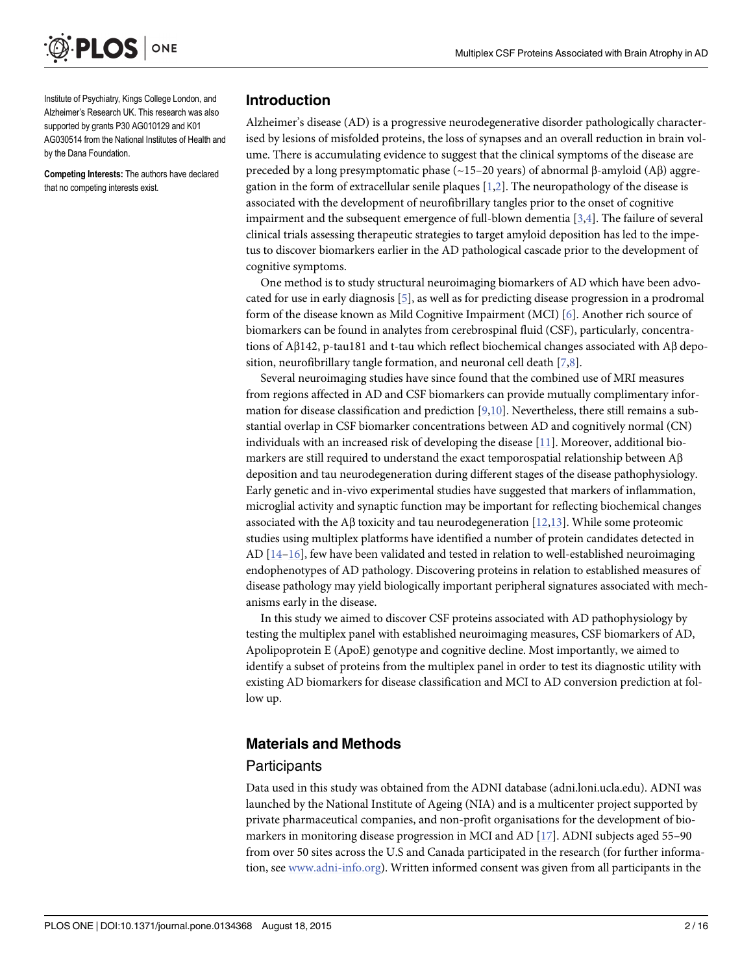<span id="page-1-0"></span>

Institute of Psychiatry, Kings College London, and Alzheimer's Research UK. This research was also supported by grants P30 AG010129 and K01 AG030514 from the National Institutes of Health and by the Dana Foundation.

Competing Interests: The authors have declared that no competing interests exist.

#### Introduction

Alzheimer's disease (AD) is a progressive neurodegenerative disorder pathologically characterised by lesions of misfolded proteins, the loss of synapses and an overall reduction in brain volume. There is accumulating evidence to suggest that the clinical symptoms of the disease are preceded by a long presymptomatic phase (~15–20 years) of abnormal β-amyloid (Aβ) aggregation in the form of extracellular senile plaques  $[1,2]$  $[1,2]$ . The neuropathology of the disease is associated with the development of neurofibrillary tangles prior to the onset of cognitive impairment and the subsequent emergence of full-blown dementia  $[3,4]$  $[3,4]$  $[3,4]$  $[3,4]$  $[3,4]$ . The failure of several clinical trials assessing therapeutic strategies to target amyloid deposition has led to the impetus to discover biomarkers earlier in the AD pathological cascade prior to the development of cognitive symptoms.

One method is to study structural neuroimaging biomarkers of AD which have been advocated for use in early diagnosis [[5](#page-13-0)], as well as for predicting disease progression in a prodromal form of the disease known as Mild Cognitive Impairment (MCI) [\[6](#page-13-0)]. Another rich source of biomarkers can be found in analytes from cerebrospinal fluid (CSF), particularly, concentrations of Aβ142, p-tau181 and t-tau which reflect biochemical changes associated with Aβ deposition, neurofibrillary tangle formation, and neuronal cell death  $[7,8]$ .

Several neuroimaging studies have since found that the combined use of MRI measures from regions affected in AD and CSF biomarkers can provide mutually complimentary information for disease classification and prediction  $[9,10]$  $[9,10]$  $[9,10]$ . Nevertheless, there still remains a substantial overlap in CSF biomarker concentrations between AD and cognitively normal (CN) individuals with an increased risk of developing the disease  $[11]$  $[11]$  $[11]$ . Moreover, additional biomarkers are still required to understand the exact temporospatial relationship between  $\mathbf{A}\mathbf{\beta}$ deposition and tau neurodegeneration during different stages of the disease pathophysiology. Early genetic and in-vivo experimental studies have suggested that markers of inflammation, microglial activity and synaptic function may be important for reflecting biochemical changes associated with the Aβ toxicity and tau neurodegeneration [[12,13](#page-13-0)]. While some proteomic studies using multiplex platforms have identified a number of protein candidates detected in AD  $[14-16]$  $[14-16]$  $[14-16]$  $[14-16]$  $[14-16]$ , few have been validated and tested in relation to well-established neuroimaging endophenotypes of AD pathology. Discovering proteins in relation to established measures of disease pathology may yield biologically important peripheral signatures associated with mechanisms early in the disease.

In this study we aimed to discover CSF proteins associated with AD pathophysiology by testing the multiplex panel with established neuroimaging measures, CSF biomarkers of AD, Apolipoprotein E (ApoE) genotype and cognitive decline. Most importantly, we aimed to identify a subset of proteins from the multiplex panel in order to test its diagnostic utility with existing AD biomarkers for disease classification and MCI to AD conversion prediction at follow up.

## Materials and Methods

#### **Participants**

Data used in this study was obtained from the ADNI database (adni.loni.ucla.edu). ADNI was launched by the National Institute of Ageing (NIA) and is a multicenter project supported by private pharmaceutical companies, and non-profit organisations for the development of biomarkers in monitoring disease progression in MCI and AD [[17](#page-13-0)]. ADNI subjects aged 55–90 from over 50 sites across the U.S and Canada participated in the research (for further information, see [www.adni-info.org\)](http://www.adni-info.org/). Written informed consent was given from all participants in the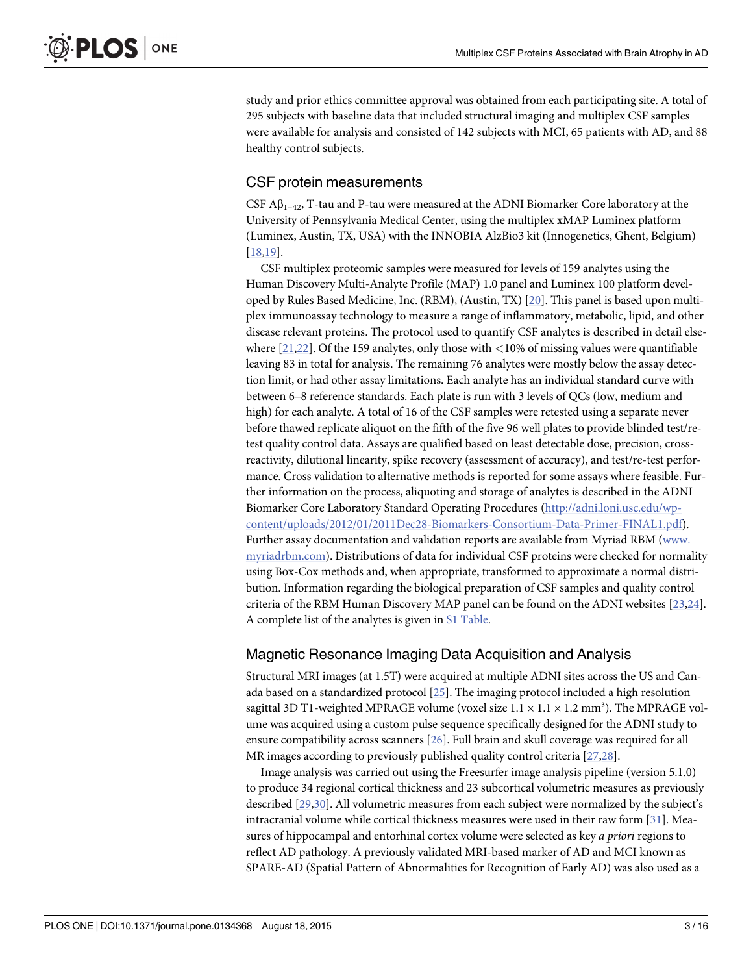<span id="page-2-0"></span>study and prior ethics committee approval was obtained from each participating site. A total of 295 subjects with baseline data that included structural imaging and multiplex CSF samples were available for analysis and consisted of 142 subjects with MCI, 65 patients with AD, and 88 healthy control subjects.

#### CSF protein measurements

CSF  $\mathbf{A}\mathbf{\beta}_{1-42}$ , T-tau and P-tau were measured at the ADNI Biomarker Core laboratory at the University of Pennsylvania Medical Center, using the multiplex xMAP Luminex platform (Luminex, Austin, TX, USA) with the INNOBIA AlzBio3 kit (Innogenetics, Ghent, Belgium) [\[18,19\]](#page-13-0).

CSF multiplex proteomic samples were measured for levels of 159 analytes using the Human Discovery Multi-Analyte Profile (MAP) 1.0 panel and Luminex 100 platform developed by Rules Based Medicine, Inc. (RBM), (Austin, TX) [\[20\]](#page-13-0). This panel is based upon multiplex immunoassay technology to measure a range of inflammatory, metabolic, lipid, and other disease relevant proteins. The protocol used to quantify CSF analytes is described in detail elsewhere  $[21,22]$  $[21,22]$  $[21,22]$  $[21,22]$  $[21,22]$ . Of the 159 analytes, only those with  $\langle 10\%$  of missing values were quantifiable leaving 83 in total for analysis. The remaining 76 analytes were mostly below the assay detection limit, or had other assay limitations. Each analyte has an individual standard curve with between 6–8 reference standards. Each plate is run with 3 levels of QCs (low, medium and high) for each analyte. A total of 16 of the CSF samples were retested using a separate never before thawed replicate aliquot on the fifth of the five 96 well plates to provide blinded test/retest quality control data. Assays are qualified based on least detectable dose, precision, crossreactivity, dilutional linearity, spike recovery (assessment of accuracy), and test/re-test performance. Cross validation to alternative methods is reported for some assays where feasible. Further information on the process, aliquoting and storage of analytes is described in the ADNI Biomarker Core Laboratory Standard Operating Procedures [\(http://adni.loni.usc.edu/wp](http://adni.loni.usc.edu/wp-content/uploads/2012/01/2011Dec28-�Biomarkers-Consortium-Data-Primer-FINAL1.pdf)[content/uploads/2012/01/2011Dec28-Biomarkers-Consortium-Data-Primer-FINAL1.pdf\)](http://adni.loni.usc.edu/wp-content/uploads/2012/01/2011Dec28-�Biomarkers-Consortium-Data-Primer-FINAL1.pdf). Further assay documentation and validation reports are available from Myriad RBM ([www.](http://www.myriadrbm.com/) [myriadrbm.com\)](http://www.myriadrbm.com/). Distributions of data for individual CSF proteins were checked for normality using Box-Cox methods and, when appropriate, transformed to approximate a normal distribution. Information regarding the biological preparation of CSF samples and quality control criteria of the RBM Human Discovery MAP panel can be found on the ADNI websites [\[23,24\]](#page-14-0). A complete list of the analytes is given in [S1 Table.](#page-12-0)

#### Magnetic Resonance Imaging Data Acquisition and Analysis

Structural MRI images (at 1.5T) were acquired at multiple ADNI sites across the US and Canada based on a standardized protocol [[25](#page-14-0)]. The imaging protocol included a high resolution sagittal 3D T1-weighted MPRAGE volume (voxel size  $1.1 \times 1.1 \times 1.2$  mm<sup>3</sup>). The MPRAGE volume was acquired using a custom pulse sequence specifically designed for the ADNI study to ensure compatibility across scanners [\[26](#page-14-0)]. Full brain and skull coverage was required for all MR images according to previously published quality control criteria [[27,28\]](#page-14-0).

Image analysis was carried out using the Freesurfer image analysis pipeline (version 5.1.0) to produce 34 regional cortical thickness and 23 subcortical volumetric measures as previously described [\[29,30\]](#page-14-0). All volumetric measures from each subject were normalized by the subject's intracranial volume while cortical thickness measures were used in their raw form [[31](#page-14-0)]. Measures of hippocampal and entorhinal cortex volume were selected as key *a priori* regions to reflect AD pathology. A previously validated MRI-based marker of AD and MCI known as SPARE-AD (Spatial Pattern of Abnormalities for Recognition of Early AD) was also used as a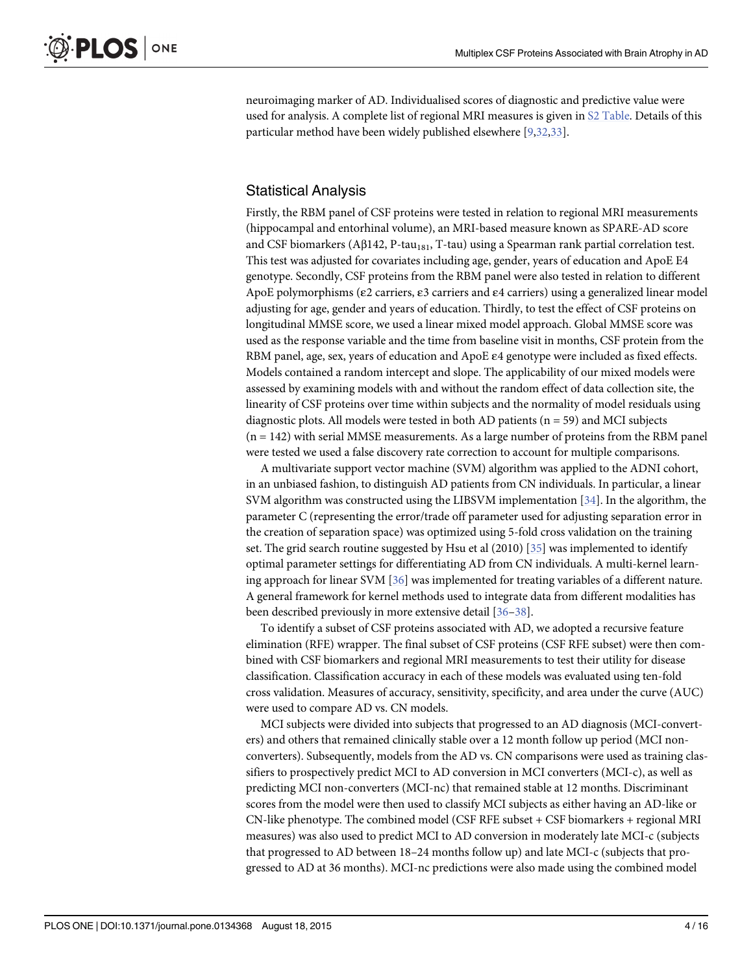<span id="page-3-0"></span>neuroimaging marker of AD. Individualised scores of diagnostic and predictive value were used for analysis. A complete list of regional MRI measures is given in [S2 Table.](#page-12-0) Details of this particular method have been widely published elsewhere [\[9,](#page-13-0)[32,33](#page-14-0)].

## Statistical Analysis

Firstly, the RBM panel of CSF proteins were tested in relation to regional MRI measurements (hippocampal and entorhinal volume), an MRI-based measure known as SPARE-AD score and CSF biomarkers (Aβ142, P-tau<sub>181</sub>, T-tau) using a Spearman rank partial correlation test. This test was adjusted for covariates including age, gender, years of education and ApoE E4 genotype. Secondly, CSF proteins from the RBM panel were also tested in relation to different ApoE polymorphisms (ε2 carriers, ε3 carriers and ε4 carriers) using a generalized linear model adjusting for age, gender and years of education. Thirdly, to test the effect of CSF proteins on longitudinal MMSE score, we used a linear mixed model approach. Global MMSE score was used as the response variable and the time from baseline visit in months, CSF protein from the RBM panel, age, sex, years of education and ApoE ε4 genotype were included as fixed effects. Models contained a random intercept and slope. The applicability of our mixed models were assessed by examining models with and without the random effect of data collection site, the linearity of CSF proteins over time within subjects and the normality of model residuals using diagnostic plots. All models were tested in both AD patients ( $n = 59$ ) and MCI subjects  $(n = 142)$  with serial MMSE measurements. As a large number of proteins from the RBM panel were tested we used a false discovery rate correction to account for multiple comparisons.

A multivariate support vector machine (SVM) algorithm was applied to the ADNI cohort, in an unbiased fashion, to distinguish AD patients from CN individuals. In particular, a linear SVM algorithm was constructed using the LIBSVM implementation [\[34\]](#page-14-0). In the algorithm, the parameter C (representing the error/trade off parameter used for adjusting separation error in the creation of separation space) was optimized using 5-fold cross validation on the training set. The grid search routine suggested by Hsu et al (2010) [\[35\]](#page-14-0) was implemented to identify optimal parameter settings for differentiating AD from CN individuals. A multi-kernel learning approach for linear SVM  $[36]$  was implemented for treating variables of a different nature. A general framework for kernel methods used to integrate data from different modalities has been described previously in more extensive detail [\[36](#page-14-0)–[38](#page-14-0)].

To identify a subset of CSF proteins associated with AD, we adopted a recursive feature elimination (RFE) wrapper. The final subset of CSF proteins (CSF RFE subset) were then combined with CSF biomarkers and regional MRI measurements to test their utility for disease classification. Classification accuracy in each of these models was evaluated using ten-fold cross validation. Measures of accuracy, sensitivity, specificity, and area under the curve (AUC) were used to compare AD vs. CN models.

MCI subjects were divided into subjects that progressed to an AD diagnosis (MCI-converters) and others that remained clinically stable over a 12 month follow up period (MCI nonconverters). Subsequently, models from the AD vs. CN comparisons were used as training classifiers to prospectively predict MCI to AD conversion in MCI converters (MCI-c), as well as predicting MCI non-converters (MCI-nc) that remained stable at 12 months. Discriminant scores from the model were then used to classify MCI subjects as either having an AD-like or CN-like phenotype. The combined model (CSF RFE subset + CSF biomarkers + regional MRI measures) was also used to predict MCI to AD conversion in moderately late MCI-c (subjects that progressed to AD between 18–24 months follow up) and late MCI-c (subjects that progressed to AD at 36 months). MCI-nc predictions were also made using the combined model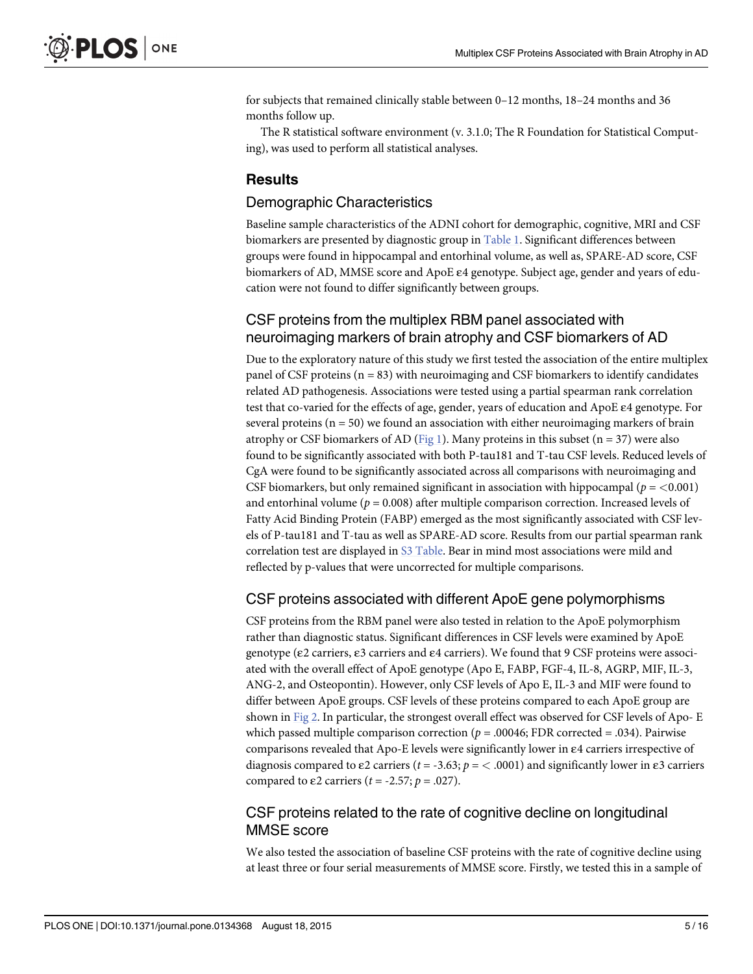<span id="page-4-0"></span>for subjects that remained clinically stable between 0–12 months, 18–24 months and 36 months follow up.

The R statistical software environment (v. 3.1.0; The R Foundation for Statistical Computing), was used to perform all statistical analyses.

#### Results

#### Demographic Characteristics

Baseline sample characteristics of the ADNI cohort for demographic, cognitive, MRI and CSF biomarkers are presented by diagnostic group in [Table 1.](#page-5-0) Significant differences between groups were found in hippocampal and entorhinal volume, as well as, SPARE-AD score, CSF biomarkers of AD, MMSE score and ApoE ε4 genotype. Subject age, gender and years of education were not found to differ significantly between groups.

# CSF proteins from the multiplex RBM panel associated with neuroimaging markers of brain atrophy and CSF biomarkers of AD

Due to the exploratory nature of this study we first tested the association of the entire multiplex panel of CSF proteins  $(n = 83)$  with neuroimaging and CSF biomarkers to identify candidates related AD pathogenesis. Associations were tested using a partial spearman rank correlation test that co-varied for the effects of age, gender, years of education and ApoE ε4 genotype. For several proteins  $(n = 50)$  we found an association with either neuroimaging markers of brain atrophy or CSF biomarkers of AD ( $Fig 1$ ). Many proteins in this subset (n = 37) were also found to be significantly associated with both P-tau181 and T-tau CSF levels. Reduced levels of CgA were found to be significantly associated across all comparisons with neuroimaging and CSF biomarkers, but only remained significant in association with hippocampal ( $p = <0.001$ ) and entorhinal volume ( $p = 0.008$ ) after multiple comparison correction. Increased levels of Fatty Acid Binding Protein (FABP) emerged as the most significantly associated with CSF levels of P-tau181 and T-tau as well as SPARE-AD score. Results from our partial spearman rank correlation test are displayed in [S3 Table](#page-12-0). Bear in mind most associations were mild and reflected by p-values that were uncorrected for multiple comparisons.

#### CSF proteins associated with different ApoE gene polymorphisms

CSF proteins from the RBM panel were also tested in relation to the ApoE polymorphism rather than diagnostic status. Significant differences in CSF levels were examined by ApoE genotype (ε2 carriers, ε3 carriers and ε4 carriers). We found that 9 CSF proteins were associated with the overall effect of ApoE genotype (Apo E, FABP, FGF-4, IL-8, AGRP, MIF, IL-3, ANG-2, and Osteopontin). However, only CSF levels of Apo E, IL-3 and MIF were found to differ between ApoE groups. CSF levels of these proteins compared to each ApoE group are shown in [Fig 2](#page-6-0). In particular, the strongest overall effect was observed for CSF levels of Apo- E which passed multiple comparison correction ( $p = .00046$ ; FDR corrected = .034). Pairwise comparisons revealed that Apo-E levels were significantly lower in ε4 carriers irrespective of diagnosis compared to  $\varepsilon$ 2 carriers (t = -3.63; p = < .0001) and significantly lower in  $\varepsilon$ 3 carriers compared to ε2 carriers ( $t = -2.57$ ;  $p = .027$ ).

#### CSF proteins related to the rate of cognitive decline on longitudinal MMSE score

We also tested the association of baseline CSF proteins with the rate of cognitive decline using at least three or four serial measurements of MMSE score. Firstly, we tested this in a sample of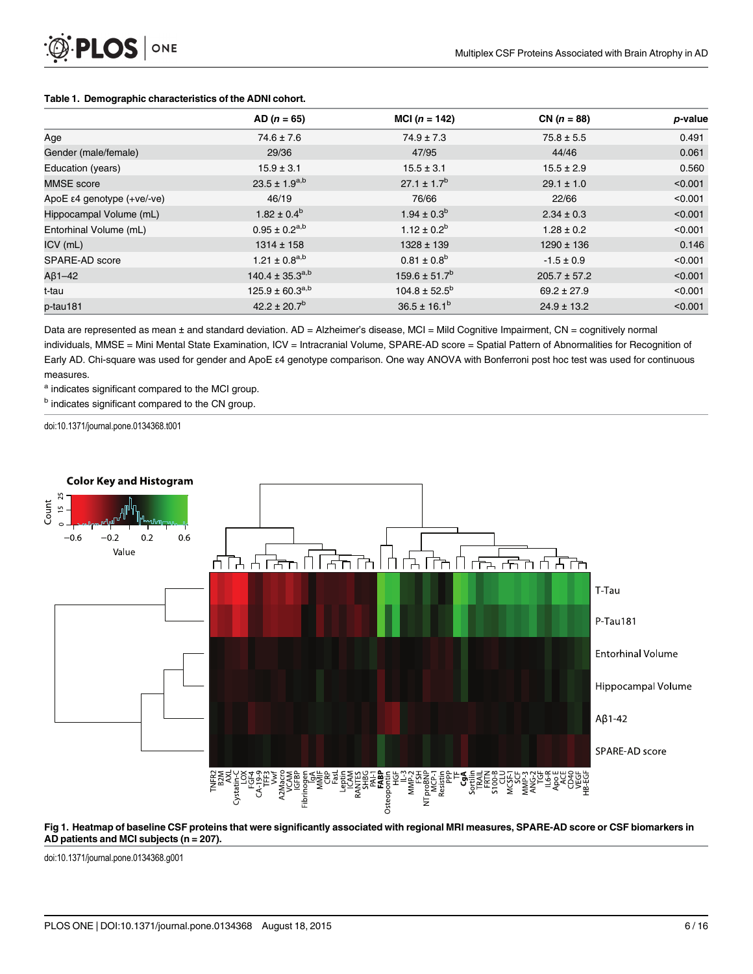#### <span id="page-5-0"></span>[Table 1.](#page-4-0) Demographic characteristics of the ADNI cohort.

|                              | $AD (n = 65)$          | MCI $(n = 142)$          | $CN (n = 88)$    | p-value |
|------------------------------|------------------------|--------------------------|------------------|---------|
| Age                          | $74.6 \pm 7.6$         | $74.9 \pm 7.3$           | $75.8 \pm 5.5$   | 0.491   |
| Gender (male/female)         | 29/36                  | 47/95                    | 44/46            | 0.061   |
| Education (years)            | $15.9 \pm 3.1$         | $15.5 \pm 3.1$           | $15.5 \pm 2.9$   | 0.560   |
| <b>MMSE</b> score            | $23.5 \pm 1.9^{a,b}$   | $27.1 \pm 1.7^b$         | $29.1 \pm 1.0$   | < 0.001 |
| ApoE ε4 genotype $(+ve/~ve)$ | 46/19                  | 76/66                    | 22/66            | < 0.001 |
| Hippocampal Volume (mL)      | $1.82 \pm 0.4^b$       | $1.94 \pm 0.3^b$         | $2.34 \pm 0.3$   | < 0.001 |
| Entorhinal Volume (mL)       | $0.95 \pm 0.2^{a,b}$   | $1.12 \pm 0.2^b$         | $1.28 \pm 0.2$   | < 0.001 |
| ICV (mL)                     | $1314 \pm 158$         | $1328 \pm 139$           | $1290 \pm 136$   | 0.146   |
| SPARE-AD score               | $1.21 \pm 0.8^{a,b}$   | $0.81 \pm 0.8^b$         | $-1.5 \pm 0.9$   | < 0.001 |
| $\mathsf{AB1}-42$            | $140.4 \pm 35.3^{a,b}$ | $159.6 \pm 51.7^b$       | $205.7 \pm 57.2$ | < 0.001 |
| t-tau                        | $125.9 \pm 60.3^{a,b}$ | $104.8 \pm 52.5^{\rm b}$ | $69.2 \pm 27.9$  | < 0.001 |
| p-tau181                     | $42.2 \pm 20.7^b$      | $36.5 \pm 16.1^b$        | $24.9 \pm 13.2$  | < 0.001 |

Data are represented as mean ± and standard deviation. AD = Alzheimer's disease, MCI = Mild Cognitive Impairment, CN = cognitively normal individuals, MMSE = Mini Mental State Examination, ICV = Intracranial Volume, SPARE-AD score = Spatial Pattern of Abnormalities for Recognition of Early AD. Chi-square was used for gender and ApoE ε4 genotype comparison. One way ANOVA with Bonferroni post hoc test was used for continuous measures.

a indicates significant compared to the MCI group.

 $<sup>b</sup>$  indicates significant compared to the CN group.</sup>

doi:10.1371/journal.pone.0134368.t001



#### [Fig 1. H](#page-4-0)eatmap of baseline CSF proteins that were significantly associated with regional MRI measures, SPARE-AD score or CSF biomarkers in AD patients and MCI subjects (n = 207).

doi:10.1371/journal.pone.0134368.g001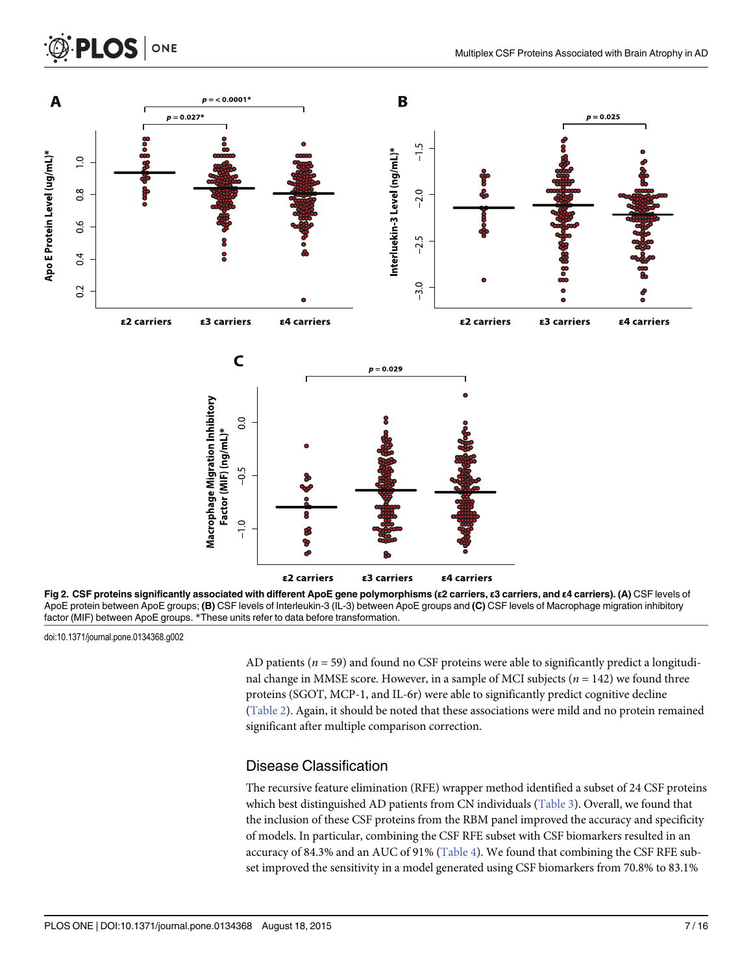<span id="page-6-0"></span>



[Fig 2. C](#page-4-0)SF proteins significantly associated with different ApoE gene polymorphisms (ε2 carriers, ε3 carriers, and ε4 carriers). (A) CSF levels of ApoE protein between ApoE groups; (B) CSF levels of Interleukin-3 (IL-3) between ApoE groups and (C) CSF levels of Macrophage migration inhibitory factor (MIF) between ApoE groups. \*These units refer to data before transformation.

doi:10.1371/journal.pone.0134368.g002

AD patients ( $n = 59$ ) and found no CSF proteins were able to significantly predict a longitudinal change in MMSE score. However, in a sample of MCI subjects ( $n = 142$ ) we found three proteins (SGOT, MCP-1, and IL-6r) were able to significantly predict cognitive decline [\(Table 2\)](#page-7-0). Again, it should be noted that these associations were mild and no protein remained significant after multiple comparison correction.

#### Disease Classification

The recursive feature elimination (RFE) wrapper method identified a subset of 24 CSF proteins which best distinguished AD patients from CN individuals ([Table 3\)](#page-7-0). Overall, we found that the inclusion of these CSF proteins from the RBM panel improved the accuracy and specificity of models. In particular, combining the CSF RFE subset with CSF biomarkers resulted in an accuracy of 84.3% and an AUC of 91% [\(Table 4\)](#page-8-0). We found that combining the CSF RFE subset improved the sensitivity in a model generated using CSF biomarkers from 70.8% to 83.1%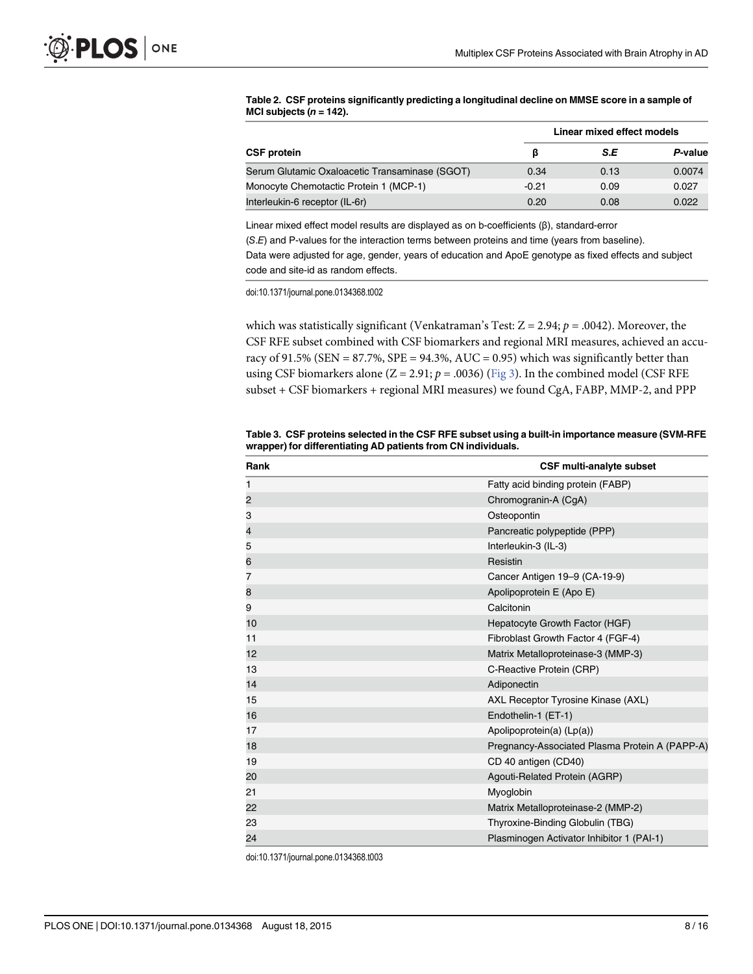<span id="page-7-0"></span>

| Table 2. CSF proteins significantly predicting a longitudinal decline on MMSE score in a sample of |
|----------------------------------------------------------------------------------------------------|
| MCI subjects ( $n = 142$ ).                                                                        |

|                                                | Linear mixed effect models |      |         |
|------------------------------------------------|----------------------------|------|---------|
| <b>CSF protein</b>                             | ß                          | S.E  | P-value |
| Serum Glutamic Oxaloacetic Transaminase (SGOT) | 0.34                       | 0.13 | 0.0074  |
| Monocyte Chemotactic Protein 1 (MCP-1)         | $-0.21$                    | 0.09 | 0.027   |
| Interleukin-6 receptor (IL-6r)                 | 0.20                       | 0.08 | 0.022   |

Linear mixed effect model results are displayed as on b-coefficients (β), standard-error (S.E) and P-values for the interaction terms between proteins and time (years from baseline). Data were adjusted for age, gender, years of education and ApoE genotype as fixed effects and subject code and site-id as random effects.

doi:10.1371/journal.pone.0134368.t002

which was statistically significant (Venkatraman's Test:  $Z = 2.94$ ;  $p = .0042$ ). Moreover, the CSF RFE subset combined with CSF biomarkers and regional MRI measures, achieved an accuracy of 91.5% (SEN = 87.7%, SPE = 94.3%, AUC = 0.95) which was significantly better than using CSF biomarkers alone ( $Z = 2.91$ ;  $p = .0036$ ) [\(Fig 3\)](#page-9-0). In the combined model (CSF RFE subset + CSF biomarkers + regional MRI measures) we found CgA, FABP, MMP-2, and PPP

[Table 3.](#page-6-0) CSF proteins selected in the CSF RFE subset using a built-in importance measure (SVM-RFE wrapper) for differentiating AD patients from CN individuals.

| Rank           | CSF multi-analyte subset                       |  |  |
|----------------|------------------------------------------------|--|--|
| 1              | Fatty acid binding protein (FABP)              |  |  |
| $\overline{c}$ | Chromogranin-A (CgA)                           |  |  |
| 3              | Osteopontin                                    |  |  |
| 4              | Pancreatic polypeptide (PPP)                   |  |  |
| 5              | Interleukin-3 (IL-3)                           |  |  |
| 6              | Resistin                                       |  |  |
| 7              | Cancer Antigen 19-9 (CA-19-9)                  |  |  |
| 8              | Apolipoprotein E (Apo E)                       |  |  |
| 9              | Calcitonin                                     |  |  |
| 10             | Hepatocyte Growth Factor (HGF)                 |  |  |
| 11             | Fibroblast Growth Factor 4 (FGF-4)             |  |  |
| 12             | Matrix Metalloproteinase-3 (MMP-3)             |  |  |
| 13             | C-Reactive Protein (CRP)                       |  |  |
| 14             | Adiponectin                                    |  |  |
| 15             | AXL Receptor Tyrosine Kinase (AXL)             |  |  |
| 16             | Endothelin-1 (ET-1)                            |  |  |
| 17             | Apolipoprotein(a) (Lp(a))                      |  |  |
| 18             | Pregnancy-Associated Plasma Protein A (PAPP-A) |  |  |
| 19             | CD 40 antigen (CD40)                           |  |  |
| 20             | Agouti-Related Protein (AGRP)                  |  |  |
| 21             | Myoglobin                                      |  |  |
| 22             | Matrix Metalloproteinase-2 (MMP-2)             |  |  |
| 23             | Thyroxine-Binding Globulin (TBG)               |  |  |
| 24             | Plasminogen Activator Inhibitor 1 (PAI-1)      |  |  |

doi:10.1371/journal.pone.0134368.t003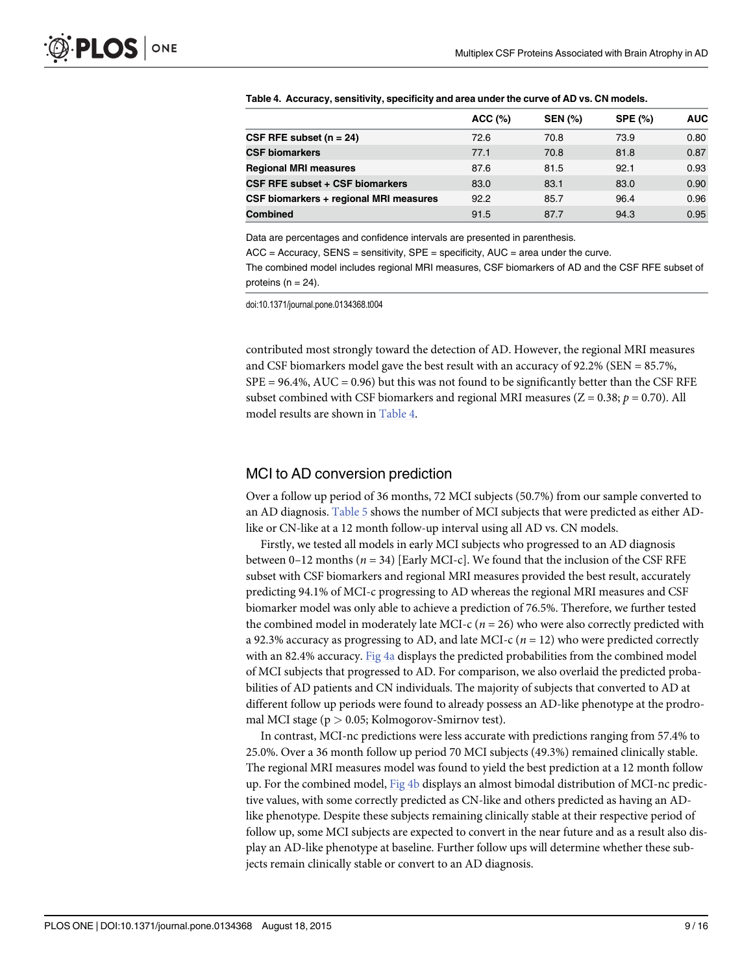|                                        | ACC (%) | <b>SEN (%)</b> | <b>SPE (%)</b> | <b>AUC</b> |
|----------------------------------------|---------|----------------|----------------|------------|
| CSF RFE subset $(n = 24)$              | 72.6    | 70.8           | 73.9           | 0.80       |
| <b>CSF biomarkers</b>                  | 77.1    | 70.8           | 81.8           | 0.87       |
| <b>Regional MRI measures</b>           | 87.6    | 81.5           | 92.1           | 0.93       |
| CSF RFE subset + CSF biomarkers        | 83.0    | 83.1           | 83.0           | 0.90       |
| CSF biomarkers + regional MRI measures | 92.2    | 85.7           | 96.4           | 0.96       |
| <b>Combined</b>                        | 91.5    | 87.7           | 94.3           | 0.95       |

#### <span id="page-8-0"></span>[Table 4.](#page-6-0) Accuracy, sensitivity, specificity and area under the curve of AD vs. CN models.

Data are percentages and confidence intervals are presented in parenthesis.

 $ACC = Accuracy, SENS = sensitivity, SPE = specificity, AUC = area under the curve.$ 

The combined model includes regional MRI measures, CSF biomarkers of AD and the CSF RFE subset of proteins ( $n = 24$ ).

doi:10.1371/journal.pone.0134368.t004

contributed most strongly toward the detection of AD. However, the regional MRI measures and CSF biomarkers model gave the best result with an accuracy of 92.2% (SEN = 85.7%,  $SPE = 96.4\%$ ,  $AUC = 0.96$ ) but this was not found to be significantly better than the CSF RFE subset combined with CSF biomarkers and regional MRI measures ( $Z = 0.38$ ;  $p = 0.70$ ). All model results are shown in Table 4.

#### MCI to AD conversion prediction

Over a follow up period of 36 months, 72 MCI subjects (50.7%) from our sample converted to an AD diagnosis. [Table 5](#page-9-0) shows the number of MCI subjects that were predicted as either ADlike or CN-like at a 12 month follow-up interval using all AD vs. CN models.

Firstly, we tested all models in early MCI subjects who progressed to an AD diagnosis between 0–12 months ( $n = 34$ ) [Early MCI-c]. We found that the inclusion of the CSF RFE subset with CSF biomarkers and regional MRI measures provided the best result, accurately predicting 94.1% of MCI-c progressing to AD whereas the regional MRI measures and CSF biomarker model was only able to achieve a prediction of 76.5%. Therefore, we further tested the combined model in moderately late MCI-c ( $n = 26$ ) who were also correctly predicted with a 92.3% accuracy as progressing to AD, and late MCI-c  $(n = 12)$  who were predicted correctly with an 82.4% accuracy. Fig  $4a$  displays the predicted probabilities from the combined model of MCI subjects that progressed to AD. For comparison, we also overlaid the predicted probabilities of AD patients and CN individuals. The majority of subjects that converted to AD at different follow up periods were found to already possess an AD-like phenotype at the prodromal MCI stage ( $p > 0.05$ ; Kolmogorov-Smirnov test).

In contrast, MCI-nc predictions were less accurate with predictions ranging from 57.4% to 25.0%. Over a 36 month follow up period 70 MCI subjects (49.3%) remained clinically stable. The regional MRI measures model was found to yield the best prediction at a 12 month follow up. For the combined model, [Fig 4b](#page-10-0) displays an almost bimodal distribution of MCI-nc predictive values, with some correctly predicted as CN-like and others predicted as having an ADlike phenotype. Despite these subjects remaining clinically stable at their respective period of follow up, some MCI subjects are expected to convert in the near future and as a result also display an AD-like phenotype at baseline. Further follow ups will determine whether these subjects remain clinically stable or convert to an AD diagnosis.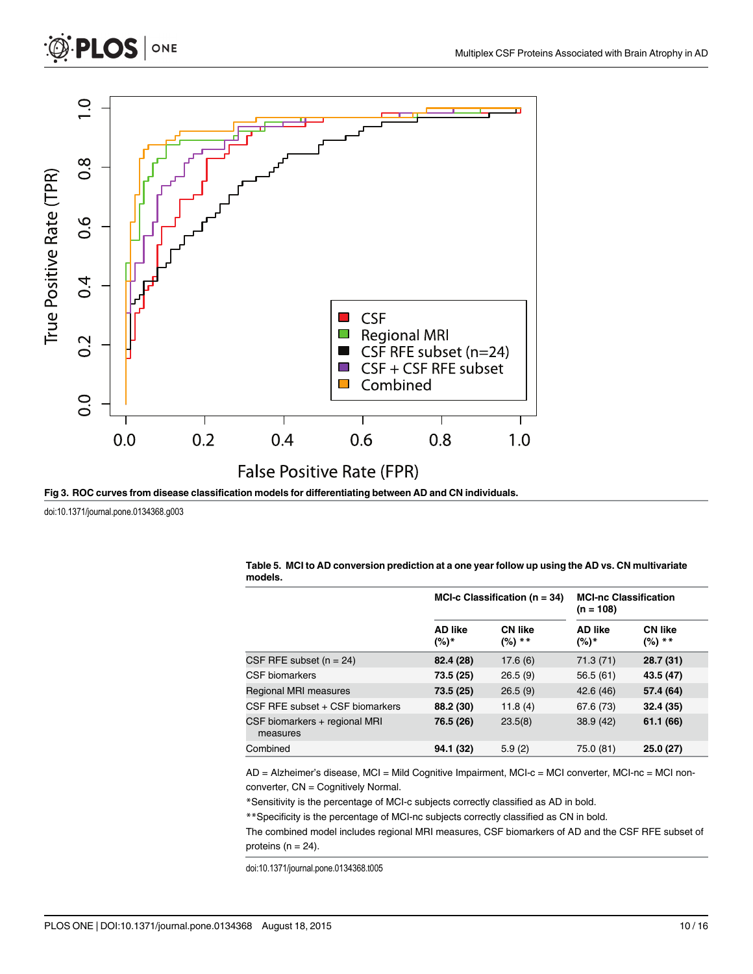



doi:10.1371/journal.pone.0134368.g003

<span id="page-9-0"></span>**PLOS** ONE

| Table 5. MCI to AD conversion prediction at a one year follow up using the AD vs. CN multivariate |  |
|---------------------------------------------------------------------------------------------------|--|
| models.                                                                                           |  |

|                                           | MCI-c Classification ( $n = 34$ ) |                          | <b>MCI-nc Classification</b><br>$(n = 108)$ |                              |
|-------------------------------------------|-----------------------------------|--------------------------|---------------------------------------------|------------------------------|
|                                           | <b>AD like</b><br>$(\%)^*$        | <b>CN like</b><br>(%) ** | <b>AD like</b><br>(%)*                      | <b>CN like</b><br>$(\%)$ * * |
| CSF RFE subset $(n = 24)$                 | 82.4 (28)                         | 17.6(6)                  | 71.3 (71)                                   | 28.7 (31)                    |
| <b>CSF biomarkers</b>                     | 73.5 (25)                         | 26.5(9)                  | 56.5(61)                                    | 43.5 (47)                    |
| Regional MRI measures                     | 73.5 (25)                         | 26.5(9)                  | 42.6(46)                                    | 57.4 (64)                    |
| CSF RFE subset + CSF biomarkers           | 88.2 (30)                         | 11.8(4)                  | 67.6 (73)                                   | 32.4 (35)                    |
| CSF biomarkers + regional MRI<br>measures | 76.5 (26)                         | 23.5(8)                  | 38.9(42)                                    | 61.1 (66)                    |
| Combined                                  | 94.1 (32)                         | 5.9(2)                   | 75.0 (81)                                   | 25.0 (27)                    |

AD = Alzheimer's disease, MCI = Mild Cognitive Impairment, MCI-c = MCI converter, MCI-nc = MCI nonconverter, CN = Cognitively Normal.

\*Sensitivity is the percentage of MCI-c subjects correctly classified as AD in bold.

\*\*Specificity is the percentage of MCI-nc subjects correctly classified as CN in bold.

The combined model includes regional MRI measures, CSF biomarkers of AD and the CSF RFE subset of proteins ( $n = 24$ ).

doi:10.1371/journal.pone.0134368.t005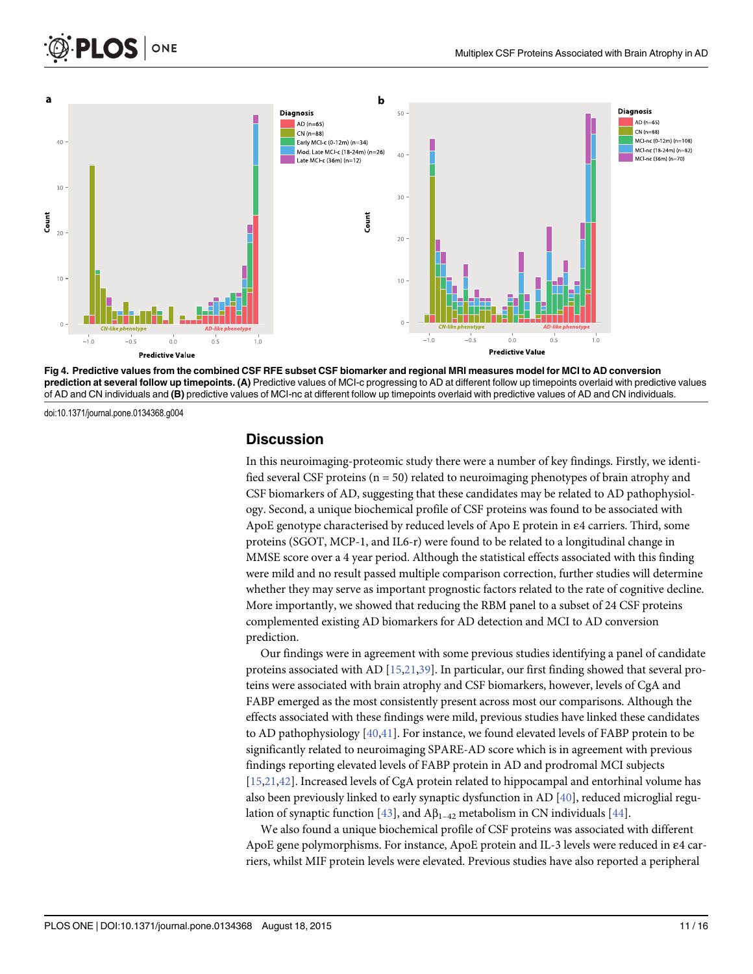<span id="page-10-0"></span>

[Fig 4. P](#page-8-0)redictive values from the combined CSF RFE subset CSF biomarker and regional MRI measures model for MCI to AD conversion prediction at several follow up timepoints. (A) Predictive values of MCI-c progressing to AD at different follow up timepoints overlaid with predictive values of AD and CN individuals and (B) predictive values of MCI-nc at different follow up timepoints overlaid with predictive values of AD and CN individuals.

doi:10.1371/journal.pone.0134368.g004

#### **Discussion**

In this neuroimaging-proteomic study there were a number of key findings. Firstly, we identified several CSF proteins (n = 50) related to neuroimaging phenotypes of brain atrophy and CSF biomarkers of AD, suggesting that these candidates may be related to AD pathophysiology. Second, a unique biochemical profile of CSF proteins was found to be associated with ApoE genotype characterised by reduced levels of Apo E protein in ε4 carriers. Third, some proteins (SGOT, MCP-1, and IL6-r) were found to be related to a longitudinal change in MMSE score over a 4 year period. Although the statistical effects associated with this finding were mild and no result passed multiple comparison correction, further studies will determine whether they may serve as important prognostic factors related to the rate of cognitive decline. More importantly, we showed that reducing the RBM panel to a subset of 24 CSF proteins complemented existing AD biomarkers for AD detection and MCI to AD conversion prediction.

Our findings were in agreement with some previous studies identifying a panel of candidate proteins associated with AD [\[15,21,](#page-13-0)[39](#page-14-0)]. In particular, our first finding showed that several proteins were associated with brain atrophy and CSF biomarkers, however, levels of CgA and FABP emerged as the most consistently present across most our comparisons. Although the effects associated with these findings were mild, previous studies have linked these candidates to AD pathophysiology  $[40,41]$ . For instance, we found elevated levels of FABP protein to be significantly related to neuroimaging SPARE-AD score which is in agreement with previous findings reporting elevated levels of FABP protein in AD and prodromal MCI subjects [\[15,21,](#page-13-0)[42\]](#page-14-0). Increased levels of CgA protein related to hippocampal and entorhinal volume has also been previously linked to early synaptic dysfunction in AD [[40](#page-14-0)], reduced microglial regu-lation of synaptic function [[43\]](#page-14-0), and  $\mathsf{A}\beta_{1-42}$  metabolism in CN individuals [\[44\]](#page-14-0).

We also found a unique biochemical profile of CSF proteins was associated with different ApoE gene polymorphisms. For instance, ApoE protein and IL-3 levels were reduced in ε4 carriers, whilst MIF protein levels were elevated. Previous studies have also reported a peripheral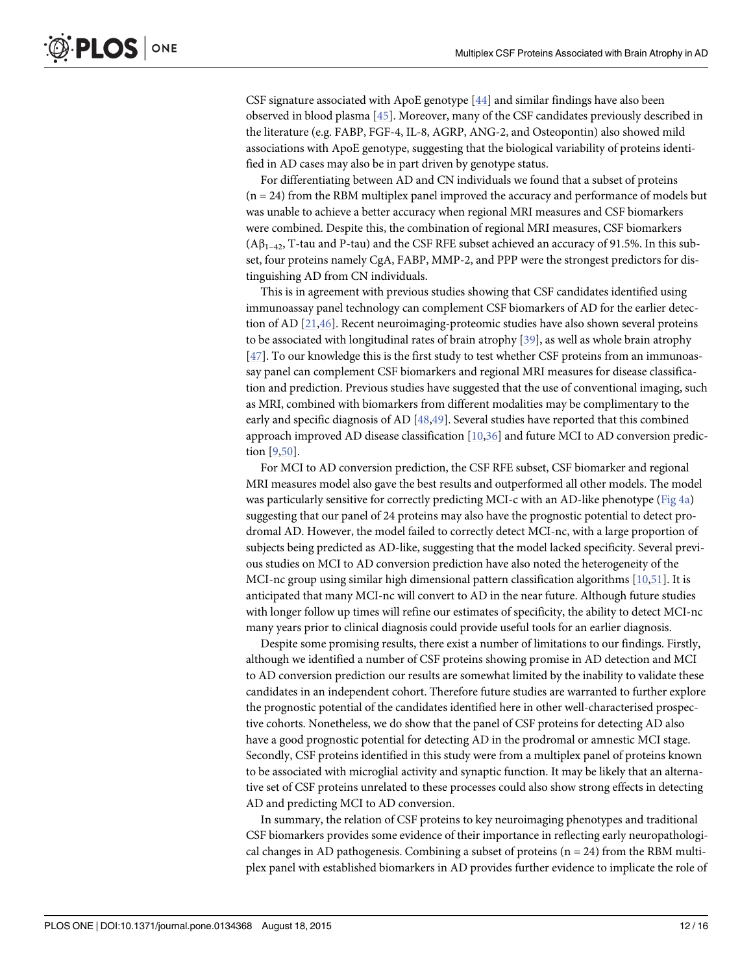<span id="page-11-0"></span>CSF signature associated with ApoE genotype [[44](#page-14-0)] and similar findings have also been observed in blood plasma [[45](#page-15-0)]. Moreover, many of the CSF candidates previously described in the literature (e.g. FABP, FGF-4, IL-8, AGRP, ANG-2, and Osteopontin) also showed mild associations with ApoE genotype, suggesting that the biological variability of proteins identified in AD cases may also be in part driven by genotype status.

For differentiating between AD and CN individuals we found that a subset of proteins (n = 24) from the RBM multiplex panel improved the accuracy and performance of models but was unable to achieve a better accuracy when regional MRI measures and CSF biomarkers were combined. Despite this, the combination of regional MRI measures, CSF biomarkers ( $Aβ<sub>1–42</sub>$ , T-tau and P-tau) and the CSF RFE subset achieved an accuracy of 91.5%. In this subset, four proteins namely CgA, FABP, MMP-2, and PPP were the strongest predictors for distinguishing AD from CN individuals.

This is in agreement with previous studies showing that CSF candidates identified using immunoassay panel technology can complement CSF biomarkers of AD for the earlier detection of AD  $[21,46]$  $[21,46]$ . Recent neuroimaging-proteomic studies have also shown several proteins to be associated with longitudinal rates of brain atrophy [[39\]](#page-14-0), as well as whole brain atrophy [\[47](#page-15-0)]. To our knowledge this is the first study to test whether CSF proteins from an immunoassay panel can complement CSF biomarkers and regional MRI measures for disease classification and prediction. Previous studies have suggested that the use of conventional imaging, such as MRI, combined with biomarkers from different modalities may be complimentary to the early and specific diagnosis of AD [[48,49](#page-15-0)]. Several studies have reported that this combined approach improved AD disease classification [\[10](#page-13-0)[,36\]](#page-14-0) and future MCI to AD conversion prediction [[9](#page-13-0),[50](#page-15-0)].

For MCI to AD conversion prediction, the CSF RFE subset, CSF biomarker and regional MRI measures model also gave the best results and outperformed all other models. The model was particularly sensitive for correctly predicting MCI-c with an AD-like phenotype [\(Fig 4a](#page-10-0)) suggesting that our panel of 24 proteins may also have the prognostic potential to detect prodromal AD. However, the model failed to correctly detect MCI-nc, with a large proportion of subjects being predicted as AD-like, suggesting that the model lacked specificity. Several previous studies on MCI to AD conversion prediction have also noted the heterogeneity of the MCI-nc group using similar high dimensional pattern classification algorithms [[10](#page-13-0)[,51\]](#page-15-0). It is anticipated that many MCI-nc will convert to AD in the near future. Although future studies with longer follow up times will refine our estimates of specificity, the ability to detect MCI-nc many years prior to clinical diagnosis could provide useful tools for an earlier diagnosis.

Despite some promising results, there exist a number of limitations to our findings. Firstly, although we identified a number of CSF proteins showing promise in AD detection and MCI to AD conversion prediction our results are somewhat limited by the inability to validate these candidates in an independent cohort. Therefore future studies are warranted to further explore the prognostic potential of the candidates identified here in other well-characterised prospective cohorts. Nonetheless, we do show that the panel of CSF proteins for detecting AD also have a good prognostic potential for detecting AD in the prodromal or amnestic MCI stage. Secondly, CSF proteins identified in this study were from a multiplex panel of proteins known to be associated with microglial activity and synaptic function. It may be likely that an alternative set of CSF proteins unrelated to these processes could also show strong effects in detecting AD and predicting MCI to AD conversion.

In summary, the relation of CSF proteins to key neuroimaging phenotypes and traditional CSF biomarkers provides some evidence of their importance in reflecting early neuropathological changes in AD pathogenesis. Combining a subset of proteins ( $n = 24$ ) from the RBM multiplex panel with established biomarkers in AD provides further evidence to implicate the role of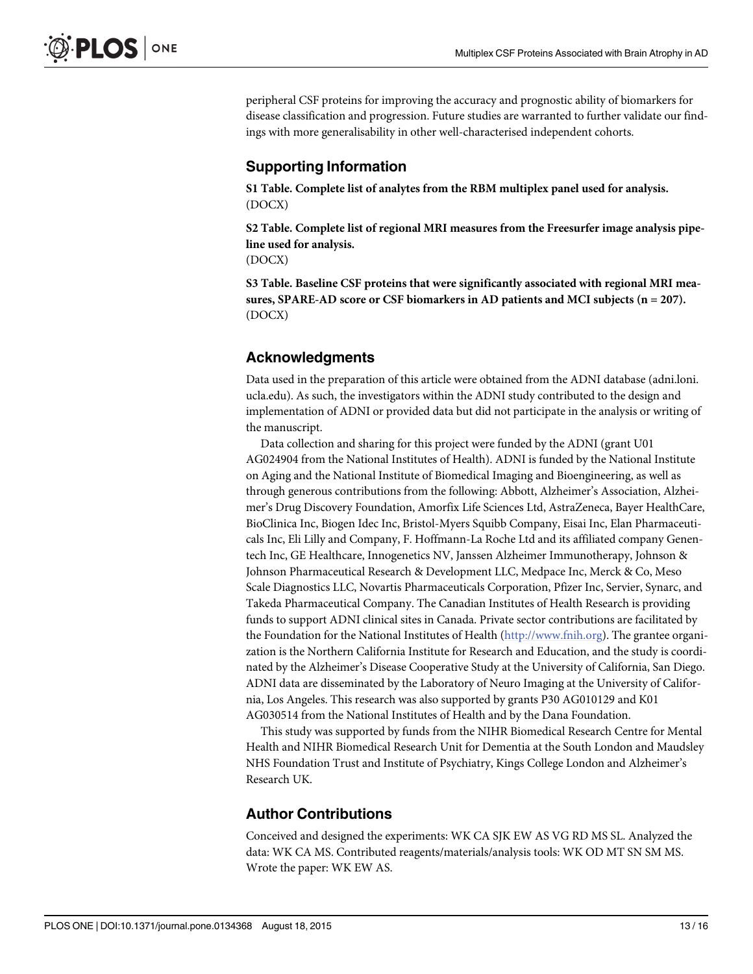<span id="page-12-0"></span>peripheral CSF proteins for improving the accuracy and prognostic ability of biomarkers for disease classification and progression. Future studies are warranted to further validate our findings with more generalisability in other well-characterised independent cohorts.

# Supporting Information

[S1 Table](http://www.plosone.org/article/fetchSingleRepresentation.action?uri=info:doi/10.1371/journal.pone.0134368.s001). Complete list of analytes from the RBM multiplex panel used for analysis. (DOCX)

[S2 Table](http://www.plosone.org/article/fetchSingleRepresentation.action?uri=info:doi/10.1371/journal.pone.0134368.s002). Complete list of regional MRI measures from the Freesurfer image analysis pipeline used for analysis.

(DOCX)

[S3 Table](http://www.plosone.org/article/fetchSingleRepresentation.action?uri=info:doi/10.1371/journal.pone.0134368.s003). Baseline CSF proteins that were significantly associated with regional MRI measures, SPARE-AD score or CSF biomarkers in AD patients and MCI subjects  $(n = 207)$ . (DOCX)

## Acknowledgments

Data used in the preparation of this article were obtained from the ADNI database (adni.loni. ucla.edu). As such, the investigators within the ADNI study contributed to the design and implementation of ADNI or provided data but did not participate in the analysis or writing of the manuscript.

Data collection and sharing for this project were funded by the ADNI (grant U01 AG024904 from the National Institutes of Health). ADNI is funded by the National Institute on Aging and the National Institute of Biomedical Imaging and Bioengineering, as well as through generous contributions from the following: Abbott, Alzheimer's Association, Alzheimer's Drug Discovery Foundation, Amorfix Life Sciences Ltd, AstraZeneca, Bayer HealthCare, BioClinica Inc, Biogen Idec Inc, Bristol-Myers Squibb Company, Eisai Inc, Elan Pharmaceuticals Inc, Eli Lilly and Company, F. Hoffmann-La Roche Ltd and its affiliated company Genentech Inc, GE Healthcare, Innogenetics NV, Janssen Alzheimer Immunotherapy, Johnson & Johnson Pharmaceutical Research & Development LLC, Medpace Inc, Merck & Co, Meso Scale Diagnostics LLC, Novartis Pharmaceuticals Corporation, Pfizer Inc, Servier, Synarc, and Takeda Pharmaceutical Company. The Canadian Institutes of Health Research is providing funds to support ADNI clinical sites in Canada. Private sector contributions are facilitated by the Foundation for the National Institutes of Health [\(http://www.fnih.org\)](http://www.fnih.org/). The grantee organization is the Northern California Institute for Research and Education, and the study is coordinated by the Alzheimer's Disease Cooperative Study at the University of California, San Diego. ADNI data are disseminated by the Laboratory of Neuro Imaging at the University of California, Los Angeles. This research was also supported by grants P30 AG010129 and K01 AG030514 from the National Institutes of Health and by the Dana Foundation.

This study was supported by funds from the NIHR Biomedical Research Centre for Mental Health and NIHR Biomedical Research Unit for Dementia at the South London and Maudsley NHS Foundation Trust and Institute of Psychiatry, Kings College London and Alzheimer's Research UK.

## Author Contributions

Conceived and designed the experiments: WK CA SJK EW AS VG RD MS SL. Analyzed the data: WK CA MS. Contributed reagents/materials/analysis tools: WK OD MT SN SM MS. Wrote the paper: WK EW AS.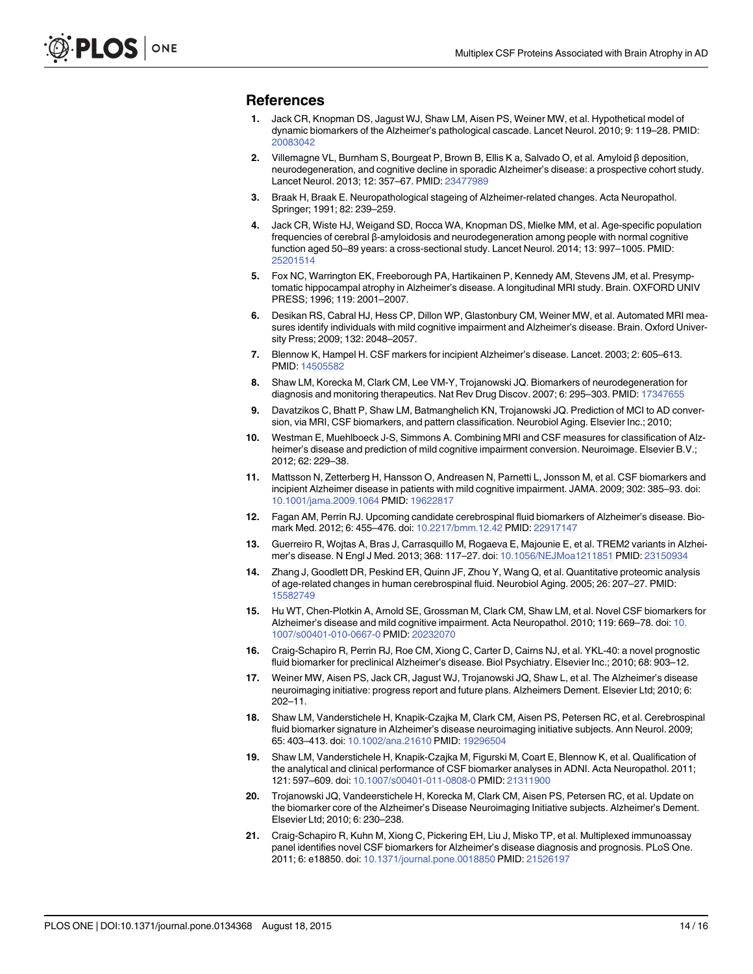#### <span id="page-13-0"></span>References

- [1.](#page-1-0) Jack CR, Knopman DS, Jagust WJ, Shaw LM, Aisen PS, Weiner MW, et al. Hypothetical model of dynamic biomarkers of the Alzheimer's pathological cascade. Lancet Neurol. 2010; 9: 119–28. PMID: [20083042](http://www.ncbi.nlm.nih.gov/pubmed/20083042)
- [2.](#page-1-0) Villemagne VL, Burnham S, Bourgeat P, Brown B, Ellis K a, Salvado O, et al. Amyloid β deposition, neurodegeneration, and cognitive decline in sporadic Alzheimer's disease: a prospective cohort study. Lancet Neurol. 2013; 12: 357–67. PMID: [23477989](http://www.ncbi.nlm.nih.gov/pubmed/23477989)
- [3.](#page-1-0) Braak H, Braak E. Neuropathological stageing of Alzheimer-related changes. Acta Neuropathol. Springer; 1991; 82: 239–259.
- [4.](#page-1-0) Jack CR, Wiste HJ, Weigand SD, Rocca WA, Knopman DS, Mielke MM, et al. Age-specific population frequencies of cerebral β-amyloidosis and neurodegeneration among people with normal cognitive function aged 50–89 years: a cross-sectional study. Lancet Neurol. 2014; 13: 997–1005. PMID: [25201514](http://www.ncbi.nlm.nih.gov/pubmed/25201514)
- [5.](#page-1-0) Fox NC, Warrington EK, Freeborough PA, Hartikainen P, Kennedy AM, Stevens JM, et al. Presymptomatic hippocampal atrophy in Alzheimer's disease. A longitudinal MRI study. Brain. OXFORD UNIV PRESS; 1996; 119: 2001–2007.
- [6.](#page-1-0) Desikan RS, Cabral HJ, Hess CP, Dillon WP, Glastonbury CM, Weiner MW, et al. Automated MRI measures identify individuals with mild cognitive impairment and Alzheimer's disease. Brain. Oxford University Press; 2009; 132: 2048–2057.
- [7.](#page-1-0) Blennow K, Hampel H. CSF markers for incipient Alzheimer's disease. Lancet. 2003; 2: 605–613. PMID: [14505582](http://www.ncbi.nlm.nih.gov/pubmed/14505582)
- [8.](#page-1-0) Shaw LM, Korecka M, Clark CM, Lee VM-Y, Trojanowski JQ. Biomarkers of neurodegeneration for diagnosis and monitoring therapeutics. Nat Rev Drug Discov. 2007; 6: 295–303. PMID: [17347655](http://www.ncbi.nlm.nih.gov/pubmed/17347655)
- [9.](#page-1-0) Davatzikos C, Bhatt P, Shaw LM, Batmanghelich KN, Trojanowski JQ. Prediction of MCI to AD conversion, via MRI, CSF biomarkers, and pattern classification. Neurobiol Aging. Elsevier Inc.; 2010;
- [10.](#page-1-0) Westman E, Muehlboeck J-S, Simmons A. Combining MRI and CSF measures for classification of Alzheimer's disease and prediction of mild cognitive impairment conversion. Neuroimage. Elsevier B.V.; 2012; 62: 229–38.
- [11.](#page-1-0) Mattsson N, Zetterberg H, Hansson O, Andreasen N, Parnetti L, Jonsson M, et al. CSF biomarkers and incipient Alzheimer disease in patients with mild cognitive impairment. JAMA. 2009; 302: 385–93. doi: [10.1001/jama.2009.1064](http://dx.doi.org/10.1001/jama.2009.1064) PMID: [19622817](http://www.ncbi.nlm.nih.gov/pubmed/19622817)
- [12.](#page-1-0) Fagan AM, Perrin RJ. Upcoming candidate cerebrospinal fluid biomarkers of Alzheimer's disease. Bio-mark Med. 2012; 6: 455-476. doi: [10.2217/bmm.12.42](http://dx.doi.org/10.2217/bmm.12.42) PMID: [22917147](http://www.ncbi.nlm.nih.gov/pubmed/22917147)
- [13.](#page-1-0) Guerreiro R, Wojtas A, Bras J, Carrasquillo M, Rogaeva E, Majounie E, et al. TREM2 variants in Alzheimer's disease. N Engl J Med. 2013; 368: 117–27. doi: [10.1056/NEJMoa1211851](http://dx.doi.org/10.1056/NEJMoa1211851) PMID: [23150934](http://www.ncbi.nlm.nih.gov/pubmed/23150934)
- [14.](#page-1-0) Zhang J, Goodlett DR, Peskind ER, Quinn JF, Zhou Y, Wang Q, et al. Quantitative proteomic analysis of age-related changes in human cerebrospinal fluid. Neurobiol Aging. 2005; 26: 207–27. PMID: [15582749](http://www.ncbi.nlm.nih.gov/pubmed/15582749)
- [15.](#page-10-0) Hu WT, Chen-Plotkin A, Arnold SE, Grossman M, Clark CM, Shaw LM, et al. Novel CSF biomarkers for Alzheimer's disease and mild cognitive impairment. Acta Neuropathol. 2010; 119: 669–78. doi: [10.](http://dx.doi.org/10.1007/s00401-010-0667-0) [1007/s00401-010-0667-0](http://dx.doi.org/10.1007/s00401-010-0667-0) PMID: [20232070](http://www.ncbi.nlm.nih.gov/pubmed/20232070)
- [16.](#page-1-0) Craig-Schapiro R, Perrin RJ, Roe CM, Xiong C, Carter D, Cairns NJ, et al. YKL-40: a novel prognostic fluid biomarker for preclinical Alzheimer's disease. Biol Psychiatry. Elsevier Inc.; 2010; 68: 903–12.
- [17.](#page-1-0) Weiner MW, Aisen PS, Jack CR, Jagust WJ, Trojanowski JQ, Shaw L, et al. The Alzheimer's disease neuroimaging initiative: progress report and future plans. Alzheimers Dement. Elsevier Ltd; 2010; 6: 202–11.
- [18.](#page-2-0) Shaw LM, Vanderstichele H, Knapik-Czajka M, Clark CM, Aisen PS, Petersen RC, et al. Cerebrospinal fluid biomarker signature in Alzheimer's disease neuroimaging initiative subjects. Ann Neurol. 2009; 65: 403–413. doi: [10.1002/ana.21610](http://dx.doi.org/10.1002/ana.21610) PMID: [19296504](http://www.ncbi.nlm.nih.gov/pubmed/19296504)
- [19.](#page-2-0) Shaw LM, Vanderstichele H, Knapik-Czajka M, Figurski M, Coart E, Blennow K, et al. Qualification of the analytical and clinical performance of CSF biomarker analyses in ADNI. Acta Neuropathol. 2011; 121: 597–609. doi: [10.1007/s00401-011-0808-0](http://dx.doi.org/10.1007/s00401-011-0808-0) PMID: [21311900](http://www.ncbi.nlm.nih.gov/pubmed/21311900)
- [20.](#page-2-0) Trojanowski JQ, Vandeerstichele H, Korecka M, Clark CM, Aisen PS, Petersen RC, et al. Update on the biomarker core of the Alzheimer's Disease Neuroimaging Initiative subjects. Alzheimer's Dement. Elsevier Ltd; 2010; 6: 230–238.
- [21.](#page-2-0) Craig-Schapiro R, Kuhn M, Xiong C, Pickering EH, Liu J, Misko TP, et al. Multiplexed immunoassay panel identifies novel CSF biomarkers for Alzheimer's disease diagnosis and prognosis. PLoS One. 2011; 6: e18850. doi: [10.1371/journal.pone.0018850](http://dx.doi.org/10.1371/journal.pone.0018850) PMID: [21526197](http://www.ncbi.nlm.nih.gov/pubmed/21526197)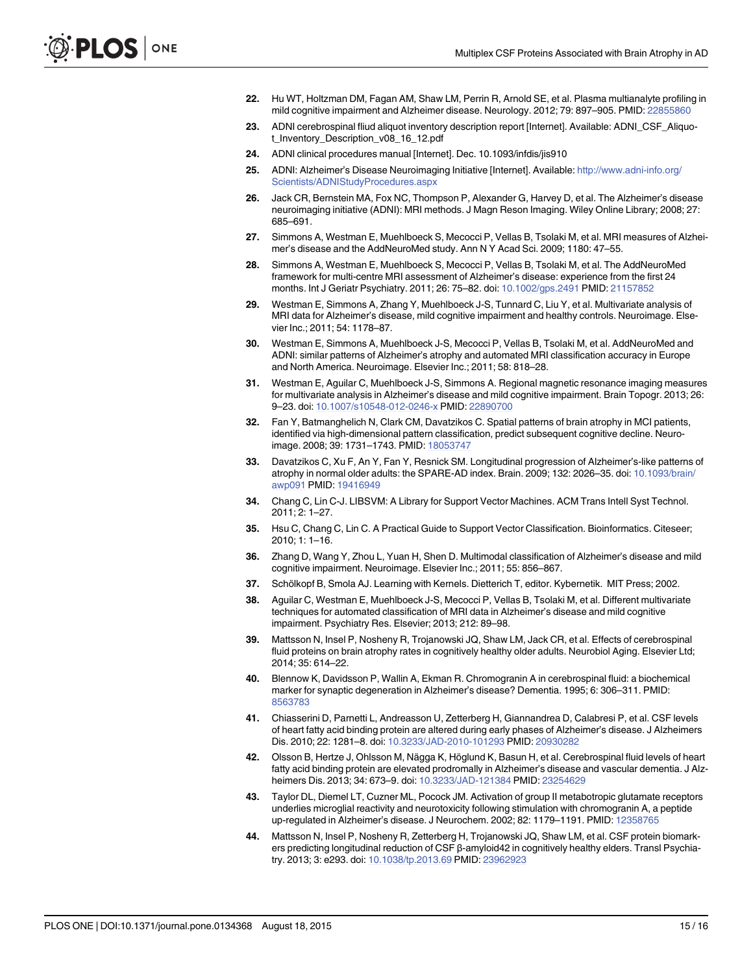- <span id="page-14-0"></span>[22.](#page-2-0) Hu WT, Holtzman DM, Fagan AM, Shaw LM, Perrin R, Arnold SE, et al. Plasma multianalyte profiling in mild cognitive impairment and Alzheimer disease. Neurology. 2012; 79: 897–905. PMID: [22855860](http://www.ncbi.nlm.nih.gov/pubmed/22855860)
- [23.](#page-2-0) ADNI cerebrospinal fliud aliquot inventory description report [Internet]. Available: ADNI\_CSF\_Aliquot\_Inventory\_Description\_v08\_16\_12.pdf
- [24.](#page-2-0) ADNI clinical procedures manual [Internet]. Dec. 10.1093/infdis/jis910
- [25.](#page-2-0) ADNI: Alzheimer's Disease Neuroimaging Initiative [Internet]. Available: [http://www.adni-info.org/](http://www.adni-info.org/Scientists/ADNIStudyProcedures.aspx) [Scientists/ADNIStudyProcedures.aspx](http://www.adni-info.org/Scientists/ADNIStudyProcedures.aspx)
- [26.](#page-2-0) Jack CR, Bernstein MA, Fox NC, Thompson P, Alexander G, Harvey D, et al. The Alzheimer's disease neuroimaging initiative (ADNI): MRI methods. J Magn Reson Imaging. Wiley Online Library; 2008; 27: 685–691.
- [27.](#page-2-0) Simmons A, Westman E, Muehlboeck S, Mecocci P, Vellas B, Tsolaki M, et al. MRI measures of Alzheimer's disease and the AddNeuroMed study. Ann N Y Acad Sci. 2009; 1180: 47–55.
- [28.](#page-2-0) Simmons A, Westman E, Muehlboeck S, Mecocci P, Vellas B, Tsolaki M, et al. The AddNeuroMed framework for multi-centre MRI assessment of Alzheimer's disease: experience from the first 24 months. Int J Geriatr Psychiatry. 2011; 26: 75–82. doi: [10.1002/gps.2491](http://dx.doi.org/10.1002/gps.2491) PMID: [21157852](http://www.ncbi.nlm.nih.gov/pubmed/21157852)
- [29.](#page-2-0) Westman E, Simmons A, Zhang Y, Muehlboeck J-S, Tunnard C, Liu Y, et al. Multivariate analysis of MRI data for Alzheimer's disease, mild cognitive impairment and healthy controls. Neuroimage. Elsevier Inc.; 2011; 54: 1178–87.
- [30.](#page-2-0) Westman E, Simmons A, Muehlboeck J-S, Mecocci P, Vellas B, Tsolaki M, et al. AddNeuroMed and ADNI: similar patterns of Alzheimer's atrophy and automated MRI classification accuracy in Europe and North America. Neuroimage. Elsevier Inc.; 2011; 58: 818–28.
- [31.](#page-2-0) Westman E, Aguilar C, Muehlboeck J-S, Simmons A. Regional magnetic resonance imaging measures for multivariate analysis in Alzheimer's disease and mild cognitive impairment. Brain Topogr. 2013; 26: 9–23. doi: [10.1007/s10548-012-0246-x](http://dx.doi.org/10.1007/s10548-012-0246-x) PMID: [22890700](http://www.ncbi.nlm.nih.gov/pubmed/22890700)
- [32.](#page-3-0) Fan Y, Batmanghelich N, Clark CM, Davatzikos C. Spatial patterns of brain atrophy in MCI patients, identified via high-dimensional pattern classification, predict subsequent cognitive decline. Neuro-image. 2008; 39: 1731-1743. PMID: [18053747](http://www.ncbi.nlm.nih.gov/pubmed/18053747)
- [33.](#page-3-0) Davatzikos C, Xu F, An Y, Fan Y, Resnick SM. Longitudinal progression of Alzheimer's-like patterns of atrophy in normal older adults: the SPARE-AD index. Brain. 2009; 132: 2026–35. doi: [10.1093/brain/](http://dx.doi.org/10.1093/brain/awp091) [awp091](http://dx.doi.org/10.1093/brain/awp091) PMID: [19416949](http://www.ncbi.nlm.nih.gov/pubmed/19416949)
- [34.](#page-3-0) Chang C, Lin C-J. LIBSVM: A Library for Support Vector Machines. ACM Trans Intell Syst Technol. 2011; 2: 1–27.
- [35.](#page-3-0) Hsu C, Chang C, Lin C. A Practical Guide to Support Vector Classification. Bioinformatics. Citeseer; 2010; 1: 1–16.
- [36.](#page-3-0) Zhang D, Wang Y, Zhou L, Yuan H, Shen D. Multimodal classification of Alzheimer's disease and mild cognitive impairment. Neuroimage. Elsevier Inc.; 2011; 55: 856–867.
- 37. Schölkopf B, Smola AJ. Learning with Kernels. Dietterich T, editor. Kybernetik. MIT Press; 2002.
- [38.](#page-3-0) Aguilar C, Westman E, Muehlboeck J-S, Mecocci P, Vellas B, Tsolaki M, et al. Different multivariate techniques for automated classification of MRI data in Alzheimer's disease and mild cognitive impairment. Psychiatry Res. Elsevier; 2013; 212: 89–98.
- [39.](#page-10-0) Mattsson N, Insel P, Nosheny R, Trojanowski JQ, Shaw LM, Jack CR, et al. Effects of cerebrospinal fluid proteins on brain atrophy rates in cognitively healthy older adults. Neurobiol Aging. Elsevier Ltd; 2014; 35: 614–22.
- [40.](#page-10-0) Blennow K, Davidsson P, Wallin A, Ekman R. Chromogranin A in cerebrospinal fluid: a biochemical marker for synaptic degeneration in Alzheimer's disease? Dementia. 1995; 6: 306–311. PMID: [8563783](http://www.ncbi.nlm.nih.gov/pubmed/8563783)
- [41.](#page-10-0) Chiasserini D, Parnetti L, Andreasson U, Zetterberg H, Giannandrea D, Calabresi P, et al. CSF levels of heart fatty acid binding protein are altered during early phases of Alzheimer's disease. J Alzheimers Dis. 2010; 22: 1281–8. doi: [10.3233/JAD-2010-101293](http://dx.doi.org/10.3233/JAD-2010-101293) PMID: [20930282](http://www.ncbi.nlm.nih.gov/pubmed/20930282)
- [42.](#page-10-0) Olsson B, Hertze J, Ohlsson M, Nägga K, Höglund K, Basun H, et al. Cerebrospinal fluid levels of heart fatty acid binding protein are elevated prodromally in Alzheimer's disease and vascular dementia. J Alzheimers Dis. 2013; 34: 673–9. doi: [10.3233/JAD-121384](http://dx.doi.org/10.3233/JAD-121384) PMID: [23254629](http://www.ncbi.nlm.nih.gov/pubmed/23254629)
- [43.](#page-10-0) Taylor DL, Diemel LT, Cuzner ML, Pocock JM. Activation of group II metabotropic glutamate receptors underlies microglial reactivity and neurotoxicity following stimulation with chromogranin A, a peptide up-regulated in Alzheimer's disease. J Neurochem. 2002; 82: 1179–1191. PMID: [12358765](http://www.ncbi.nlm.nih.gov/pubmed/12358765)
- [44.](#page-10-0) Mattsson N, Insel P, Nosheny R, Zetterberg H, Trojanowski JQ, Shaw LM, et al. CSF protein biomarkers predicting longitudinal reduction of CSF β-amyloid42 in cognitively healthy elders. Transl Psychiatry. 2013; 3: e293. doi: [10.1038/tp.2013.69](http://dx.doi.org/10.1038/tp.2013.69) PMID: [23962923](http://www.ncbi.nlm.nih.gov/pubmed/23962923)